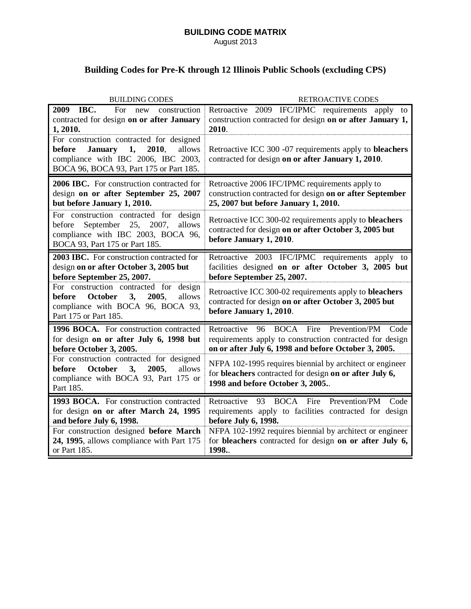## **BUILDING CODE MATRIX** August 2013

## **Building Codes for Pre-K through 12 Illinois Public Schools (excluding CPS)**

| <b>BUILDING CODES</b>                                                                                                                                                           | <b>RETROACTIVE CODES</b>                                                                                                                                              |
|---------------------------------------------------------------------------------------------------------------------------------------------------------------------------------|-----------------------------------------------------------------------------------------------------------------------------------------------------------------------|
| IBC.<br>2009<br>For<br>new construction<br>contracted for design on or after January<br>1, 2010.                                                                                | Retroactive 2009 IFC/IPMC requirements apply to<br>construction contracted for design on or after January 1,<br>2010.                                                 |
| For construction contracted for designed<br>2010,<br><b>January</b><br>1,<br>allows<br>before<br>compliance with IBC 2006, IBC 2003,<br>BOCA 96, BOCA 93, Part 175 or Part 185. | Retroactive ICC 300 -07 requirements apply to bleachers<br>contracted for design on or after January 1, 2010.                                                         |
| 2006 IBC. For construction contracted for<br>design on or after September 25, 2007<br>but before January 1, 2010.                                                               | Retroactive 2006 IFC/IPMC requirements apply to<br>construction contracted for design on or after September<br>25, 2007 but before January 1, 2010.                   |
| For construction contracted for<br>design<br>September 25,<br>2007,<br>allows<br>before<br>compliance with IBC 2003, BOCA 96,<br>BOCA 93, Part 175 or Part 185.                 | Retroactive ICC 300-02 requirements apply to <b>bleachers</b><br>contracted for design on or after October 3, 2005 but<br>before January 1, 2010.                     |
| 2003 IBC. For construction contracted for<br>design on or after October 3, 2005 but<br>before September 25, 2007.                                                               | Retroactive 2003 IFC/IPMC requirements apply to<br>facilities designed on or after October 3, 2005 but<br>before September 25, 2007.                                  |
| For construction contracted for<br>design<br>October<br>3,<br>2005.<br>allows<br>before<br>compliance with BOCA 96, BOCA 93,<br>Part 175 or Part 185.                           | Retroactive ICC 300-02 requirements apply to bleachers<br>contracted for design on or after October 3, 2005 but<br>before January 1, 2010.                            |
| 1996 BOCA. For construction contracted<br>for design on or after July 6, 1998 but<br>before October 3, 2005.                                                                    | 96 BOCA Fire Prevention/PM<br>Retroactive<br>Code<br>requirements apply to construction contracted for design<br>on or after July 6, 1998 and before October 3, 2005. |
| For construction contracted for designed<br>October<br>3,<br>2005,<br>before<br>allows<br>compliance with BOCA 93, Part 175 or<br>Part 185.                                     | NFPA 102-1995 requires biennial by architect or engineer<br>for bleachers contracted for design on or after July 6,<br>1998 and before October 3, 2005                |
| 1993 BOCA. For construction contracted<br>for design on or after March 24, 1995<br>and before July 6, 1998.                                                                     | 93 BOCA Fire<br>Prevention/PM<br>Retroactive<br>Code<br>requirements apply to facilities contracted for design<br>before July 6, 1998.                                |
| For construction designed before March<br>24, 1995, allows compliance with Part 175<br>or Part 185.                                                                             | NFPA 102-1992 requires biennial by architect or engineer<br>for bleachers contracted for design on or after July 6,<br>1998.                                          |